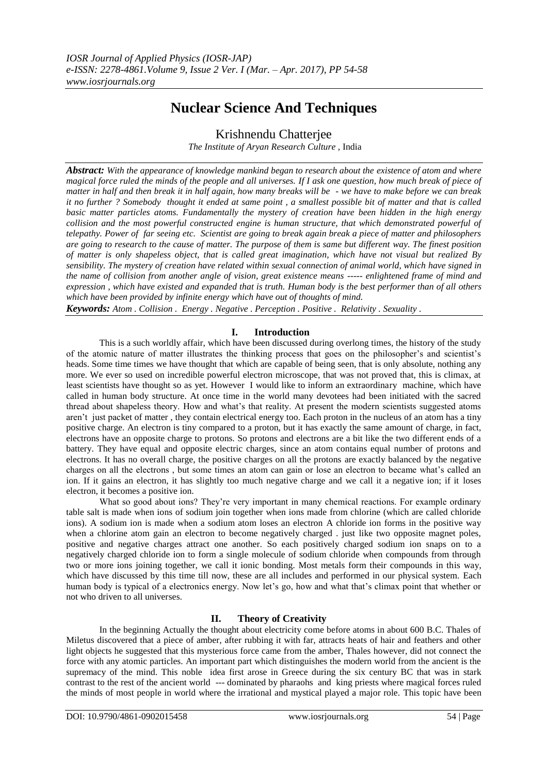## **Nuclear Science And Techniques**

Krishnendu Chatterjee

*The Institute of Aryan Research Culture ,* India

*Abstract: With the appearance of knowledge mankind began to research about the existence of atom and where magical force ruled the minds of the people and all universes. If I ask one question, how much break of piece of matter in half and then break it in half again, how many breaks will be - we have to make before we can break it no further ? Somebody thought it ended at same point , a smallest possible bit of matter and that is called basic matter particles atoms. Fundamentally the mystery of creation have been hidden in the high energy collision and the most powerful constructed engine is human structure, that which demonstrated powerful of telepathy. Power of far seeing etc. Scientist are going to break again break a piece of matter and philosophers are going to research to the cause of matter. The purpose of them is same but different way. The finest position of matter is only shapeless object, that is called great imagination, which have not visual but realized By sensibility. The mystery of creation have related within sexual connection of animal world, which have signed in the name of collision from another angle of vision, great existence means ----- enlightened frame of mind and expression , which have existed and expanded that is truth. Human body is the best performer than of all others which have been provided by infinite energy which have out of thoughts of mind.*

*Keywords: Atom . Collision . Energy . Negative . Perception . Positive . Relativity . Sexuality .* 

## **I. Introduction**

This is a such worldly affair, which have been discussed during overlong times, the history of the study of the atomic nature of matter illustrates the thinking process that goes on the philosopher"s and scientist"s heads. Some time times we have thought that which are capable of being seen, that is only absolute, nothing any more. We ever so used on incredible powerful electron microscope, that was not proved that, this is climax, at least scientists have thought so as yet. However I would like to inform an extraordinary machine, which have called in human body structure. At once time in the world many devotees had been initiated with the sacred thread about shapeless theory. How and what"s that reality. At present the modern scientists suggested atoms aren"t just packet of matter , they contain electrical energy too. Each proton in the nucleus of an atom has a tiny positive charge. An electron is tiny compared to a proton, but it has exactly the same amount of charge, in fact, electrons have an opposite charge to protons. So protons and electrons are a bit like the two different ends of a battery. They have equal and opposite electric charges, since an atom contains equal number of protons and electrons. It has no overall charge, the positive charges on all the protons are exactly balanced by the negative charges on all the electrons , but some times an atom can gain or lose an electron to became what"s called an ion. If it gains an electron, it has slightly too much negative charge and we call it a negative ion; if it loses electron, it becomes a positive ion.

What so good about ions? They're very important in many chemical reactions. For example ordinary table salt is made when ions of sodium join together when ions made from chlorine (which are called chloride ions). A sodium ion is made when a sodium atom loses an electron A chloride ion forms in the positive way when a chlorine atom gain an electron to become negatively charged . just like two opposite magnet poles, positive and negative charges attract one another. So each positively charged sodium ion snaps on to a negatively charged chloride ion to form a single molecule of sodium chloride when compounds from through two or more ions joining together, we call it ionic bonding. Most metals form their compounds in this way, which have discussed by this time till now, these are all includes and performed in our physical system. Each human body is typical of a electronics energy. Now let's go, how and what that's climax point that whether or not who driven to all universes.

## **II. Theory of Creativity**

In the beginning Actually the thought about electricity come before atoms in about 600 B.C. Thales of Miletus discovered that a piece of amber, after rubbing it with far, attracts heats of hair and feathers and other light objects he suggested that this mysterious force came from the amber, Thales however, did not connect the force with any atomic particles. An important part which distinguishes the modern world from the ancient is the supremacy of the mind. This noble idea first arose in Greece during the six century BC that was in stark contrast to the rest of the ancient world --- dominated by pharaohs and king priests where magical forces ruled the minds of most people in world where the irrational and mystical played a major role. This topic have been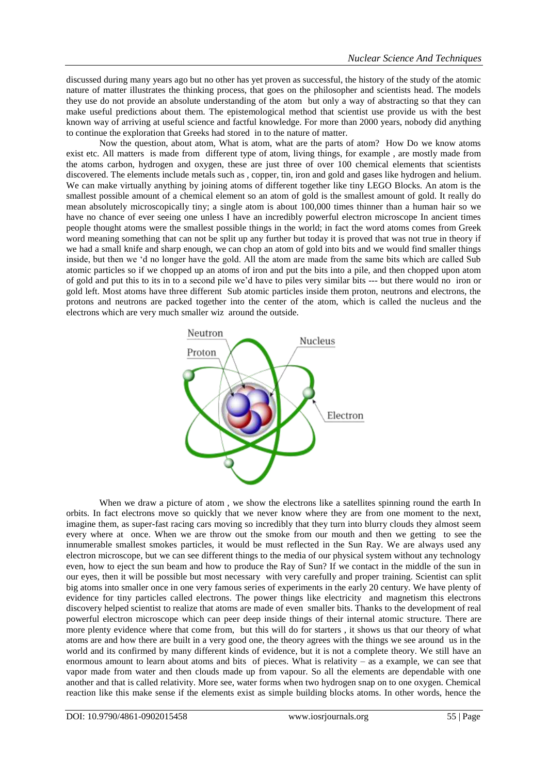discussed during many years ago but no other has yet proven as successful, the history of the study of the atomic nature of matter illustrates the thinking process, that goes on the philosopher and scientists head. The models they use do not provide an absolute understanding of the atom but only a way of abstracting so that they can make useful predictions about them. The epistemological method that scientist use provide us with the best known way of arriving at useful science and factful knowledge. For more than 2000 years, nobody did anything to continue the exploration that Greeks had stored in to the nature of matter.

Now the question, about atom, What is atom, what are the parts of atom? How Do we know atoms exist etc. All matters is made from different type of atom, living things, for example , are mostly made from the atoms carbon, hydrogen and oxygen, these are just three of over 100 chemical elements that scientists discovered. The elements include metals such as , copper, tin, iron and gold and gases like hydrogen and helium. We can make virtually anything by joining atoms of different together like tiny LEGO Blocks. An atom is the smallest possible amount of a chemical element so an atom of gold is the smallest amount of gold. It really do mean absolutely microscopically tiny; a single atom is about 100,000 times thinner than a human hair so we have no chance of ever seeing one unless I have an incredibly powerful electron microscope In ancient times people thought atoms were the smallest possible things in the world; in fact the word atoms comes from Greek word meaning something that can not be split up any further but today it is proved that was not true in theory if we had a small knife and sharp enough, we can chop an atom of gold into bits and we would find smaller things inside, but then we "d no longer have the gold. All the atom are made from the same bits which are called Sub atomic particles so if we chopped up an atoms of iron and put the bits into a pile, and then chopped upon atom of gold and put this to its in to a second pile we"d have to piles very similar bits --- but there would no iron or gold left. Most atoms have three different Sub atomic particles inside them proton, neutrons and electrons, the protons and neutrons are packed together into the center of the atom, which is called the nucleus and the electrons which are very much smaller wiz around the outside.



When we draw a picture of atom, we show the electrons like a satellites spinning round the earth In orbits. In fact electrons move so quickly that we never know where they are from one moment to the next, imagine them, as super-fast racing cars moving so incredibly that they turn into blurry clouds they almost seem every where at once. When we are throw out the smoke from our mouth and then we getting to see the innumerable smallest smokes particles, it would be must reflected in the Sun Ray. We are always used any electron microscope, but we can see different things to the media of our physical system without any technology even, how to eject the sun beam and how to produce the Ray of Sun? If we contact in the middle of the sun in our eyes, then it will be possible but most necessary with very carefully and proper training. Scientist can split big atoms into smaller once in one very famous series of experiments in the early 20 century. We have plenty of evidence for tiny particles called electrons. The power things like electricity and magnetism this electrons discovery helped scientist to realize that atoms are made of even smaller bits. Thanks to the development of real powerful electron microscope which can peer deep inside things of their internal atomic structure. There are more plenty evidence where that come from, but this will do for starters , it shows us that our theory of what atoms are and how there are built in a very good one, the theory agrees with the things we see around us in the world and its confirmed by many different kinds of evidence, but it is not a complete theory. We still have an enormous amount to learn about atoms and bits of pieces. What is relativity – as a example, we can see that vapor made from water and then clouds made up from vapour. So all the elements are dependable with one another and that is called relativity. More see, water forms when two hydrogen snap on to one oxygen. Chemical reaction like this make sense if the elements exist as simple building blocks atoms. In other words, hence the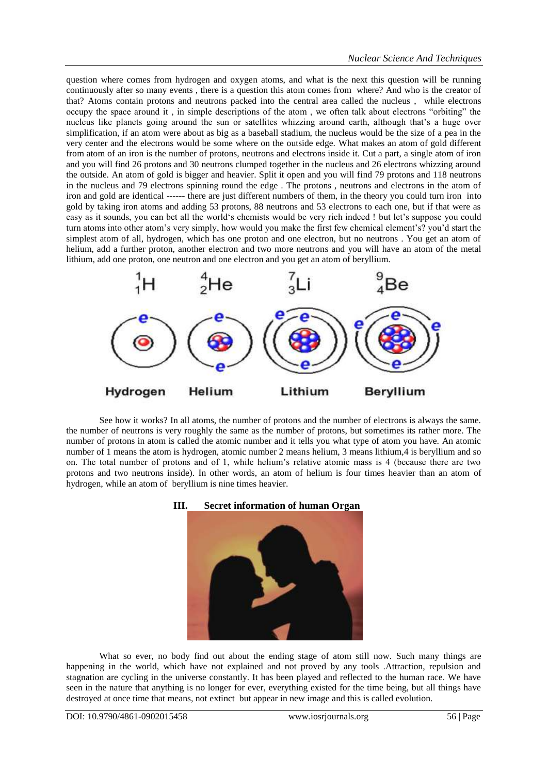question where comes from hydrogen and oxygen atoms, and what is the next this question will be running continuously after so many events , there is a question this atom comes from where? And who is the creator of that? Atoms contain protons and neutrons packed into the central area called the nucleus , while electrons occupy the space around it , in simple descriptions of the atom , we often talk about electrons "orbiting" the nucleus like planets going around the sun or satellites whizzing around earth, although that"s a huge over simplification, if an atom were about as big as a baseball stadium, the nucleus would be the size of a pea in the very center and the electrons would be some where on the outside edge. What makes an atom of gold different from atom of an iron is the number of protons, neutrons and electrons inside it. Cut a part, a single atom of iron and you will find 26 protons and 30 neutrons clumped together in the nucleus and 26 electrons whizzing around the outside. An atom of gold is bigger and heavier. Split it open and you will find 79 protons and 118 neutrons in the nucleus and 79 electrons spinning round the edge . The protons , neutrons and electrons in the atom of iron and gold are identical ------ there are just different numbers of them, in the theory you could turn iron into gold by taking iron atoms and adding 53 protons, 88 neutrons and 53 electrons to each one, but if that were as easy as it sounds, you can bet all the world"s chemists would be very rich indeed ! but let"s suppose you could turn atoms into other atom's very simply, how would you make the first few chemical element's? you'd start the simplest atom of all, hydrogen, which has one proton and one electron, but no neutrons . You get an atom of helium, add a further proton, another electron and two more neutrons and you will have an atom of the metal lithium, add one proton, one neutron and one electron and you get an atom of beryllium.



See how it works? In all atoms, the number of protons and the number of electrons is always the same. the number of neutrons is very roughly the same as the number of protons, but sometimes its rather more. The number of protons in atom is called the atomic number and it tells you what type of atom you have. An atomic number of 1 means the atom is hydrogen, atomic number 2 means helium, 3 means lithium,4 is beryllium and so on. The total number of protons and of 1, while helium"s relative atomic mass is 4 (because there are two protons and two neutrons inside). In other words, an atom of helium is four times heavier than an atom of hydrogen, while an atom of beryllium is nine times heavier.



What so ever, no body find out about the ending stage of atom still now. Such many things are happening in the world, which have not explained and not proved by any tools .Attraction, repulsion and stagnation are cycling in the universe constantly. It has been played and reflected to the human race. We have seen in the nature that anything is no longer for ever, everything existed for the time being, but all things have destroyed at once time that means, not extinct but appear in new image and this is called evolution.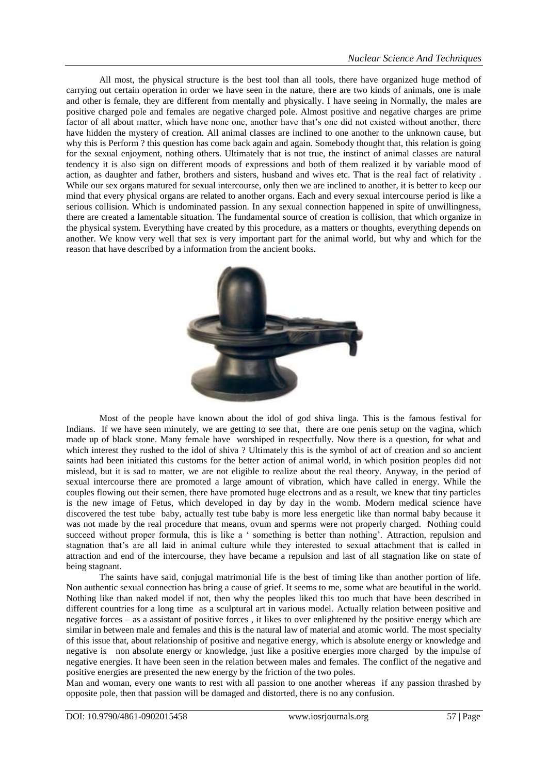All most, the physical structure is the best tool than all tools, there have organized huge method of carrying out certain operation in order we have seen in the nature, there are two kinds of animals, one is male and other is female, they are different from mentally and physically. I have seeing in Normally, the males are positive charged pole and females are negative charged pole. Almost positive and negative charges are prime factor of all about matter, which have none one, another have that's one did not existed without another, there have hidden the mystery of creation. All animal classes are inclined to one another to the unknown cause, but why this is Perform ? this question has come back again and again. Somebody thought that, this relation is going for the sexual enjoyment, nothing others. Ultimately that is not true, the instinct of animal classes are natural tendency it is also sign on different moods of expressions and both of them realized it by variable mood of action, as daughter and father, brothers and sisters, husband and wives etc. That is the real fact of relativity . While our sex organs matured for sexual intercourse, only then we are inclined to another, it is better to keep our mind that every physical organs are related to another organs. Each and every sexual intercourse period is like a serious collision. Which is undominated passion. In any sexual connection happened in spite of unwillingness, there are created a lamentable situation. The fundamental source of creation is collision, that which organize in the physical system. Everything have created by this procedure, as a matters or thoughts, everything depends on another. We know very well that sex is very important part for the animal world, but why and which for the reason that have described by a information from the ancient books.



Most of the people have known about the idol of god shiva linga. This is the famous festival for Indians. If we have seen minutely, we are getting to see that, there are one penis setup on the vagina, which made up of black stone. Many female have worshiped in respectfully. Now there is a question, for what and which interest they rushed to the idol of shiva ? Ultimately this is the symbol of act of creation and so ancient saints had been initiated this customs for the better action of animal world, in which position peoples did not mislead, but it is sad to matter, we are not eligible to realize about the real theory. Anyway, in the period of sexual intercourse there are promoted a large amount of vibration, which have called in energy. While the couples flowing out their semen, there have promoted huge electrons and as a result, we knew that tiny particles is the new image of Fetus, which developed in day by day in the womb. Modern medical science have discovered the test tube baby, actually test tube baby is more less energetic like than normal baby because it was not made by the real procedure that means, ovum and sperms were not properly charged. Nothing could succeed without proper formula, this is like a ' something is better than nothing'. Attraction, repulsion and stagnation that"s are all laid in animal culture while they interested to sexual attachment that is called in attraction and end of the intercourse, they have became a repulsion and last of all stagnation like on state of being stagnant.

The saints have said, conjugal matrimonial life is the best of timing like than another portion of life. Non authentic sexual connection has bring a cause of grief. It seems to me, some what are beautiful in the world. Nothing like than naked model if not, then why the peoples liked this too much that have been described in different countries for a long time as a sculptural art in various model. Actually relation between positive and negative forces – as a assistant of positive forces , it likes to over enlightened by the positive energy which are similar in between male and females and this is the natural law of material and atomic world. The most specialty of this issue that, about relationship of positive and negative energy, which is absolute energy or knowledge and negative is non absolute energy or knowledge, just like a positive energies more charged by the impulse of negative energies. It have been seen in the relation between males and females. The conflict of the negative and positive energies are presented the new energy by the friction of the two poles.

Man and woman, every one wants to rest with all passion to one another whereas if any passion thrashed by opposite pole, then that passion will be damaged and distorted, there is no any confusion.